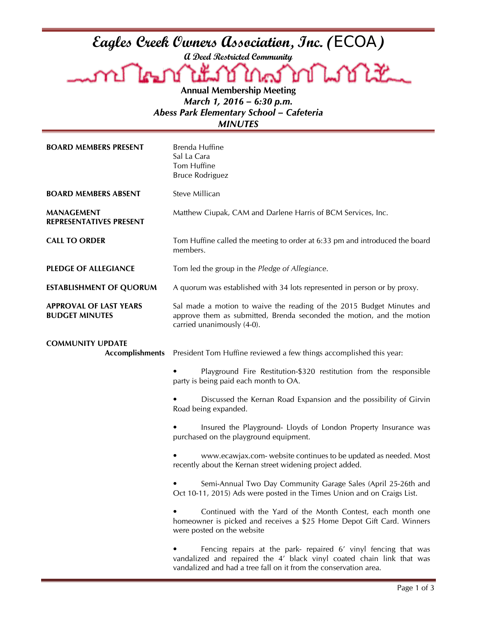**A Deed Restricted Community**

Eagles Creek Owners Association, Inc. (ECOA)<br>a Deed Restricted Community<br>Ann Instituted Community Lookt Ł كحكا Д **Annual Membership Meeting**

*March 1, 2016 – 6:30 p.m. Abess Park Elementary School – Cafeteria MINUTES*

| <b>BOARD MEMBERS PRESENT</b>                           | Brenda Huffine<br>Sal La Cara<br>Tom Huffine<br><b>Bruce Rodriguez</b>                                                                                                                                       |
|--------------------------------------------------------|--------------------------------------------------------------------------------------------------------------------------------------------------------------------------------------------------------------|
| <b>BOARD MEMBERS ABSENT</b>                            | Steve Millican                                                                                                                                                                                               |
| <b>MANAGEMENT</b><br>REPRESENTATIVES PRESENT           | Matthew Ciupak, CAM and Darlene Harris of BCM Services, Inc.                                                                                                                                                 |
| <b>CALL TO ORDER</b>                                   | Tom Huffine called the meeting to order at 6:33 pm and introduced the board<br>members.                                                                                                                      |
| <b>PLEDGE OF ALLEGIANCE</b>                            | Tom led the group in the Pledge of Allegiance.                                                                                                                                                               |
| <b>ESTABLISHMENT OF QUORUM</b>                         | A quorum was established with 34 lots represented in person or by proxy.                                                                                                                                     |
| <b>APPROVAL OF LAST YEARS</b><br><b>BUDGET MINUTES</b> | Sal made a motion to waive the reading of the 2015 Budget Minutes and<br>approve them as submitted, Brenda seconded the motion, and the motion<br>carried unanimously (4-0).                                 |
| <b>COMMUNITY UPDATE</b><br><b>Accomplishments</b>      | President Tom Huffine reviewed a few things accomplished this year:                                                                                                                                          |
|                                                        | Playground Fire Restitution-\$320 restitution from the responsible<br>party is being paid each month to OA.                                                                                                  |
|                                                        | Discussed the Kernan Road Expansion and the possibility of Girvin<br>Road being expanded.                                                                                                                    |
|                                                        | Insured the Playground- Lloyds of London Property Insurance was<br>purchased on the playground equipment.                                                                                                    |
|                                                        | www.ecawjax.com- website continues to be updated as needed. Most<br>recently about the Kernan street widening project added.                                                                                 |
|                                                        | Semi-Annual Two Day Community Garage Sales (April 25-26th and<br>Oct 10-11, 2015) Ads were posted in the Times Union and on Craigs List.                                                                     |
|                                                        | Continued with the Yard of the Month Contest, each month one<br>homeowner is picked and receives a \$25 Home Depot Gift Card. Winners<br>were posted on the website                                          |
|                                                        | Fencing repairs at the park- repaired 6' vinyl fencing that was<br>vandalized and repaired the 4' black vinyl coated chain link that was<br>vandalized and had a tree fall on it from the conservation area. |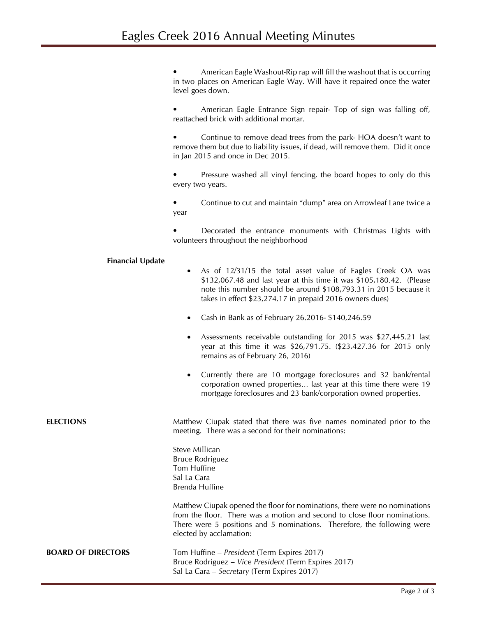• American Eagle Washout-Rip rap will fill the washout that is occurring in two places on American Eagle Way. Will have it repaired once the water level goes down.

• American Eagle Entrance Sign repair- Top of sign was falling off, reattached brick with additional mortar.

• Continue to remove dead trees from the park- HOA doesn't want to remove them but due to liability issues, if dead, will remove them. Did it once in Jan 2015 and once in Dec 2015.

Pressure washed all vinyl fencing, the board hopes to only do this every two years.

• Continue to cut and maintain "dump" area on Arrowleaf Lane twice a year

• Decorated the entrance monuments with Christmas Lights with volunteers throughout the neighborhood

## **Financial Update**

- As of 12/31/15 the total asset value of Eagles Creek OA was \$132,067.48 and last year at this time it was \$105,180.42. (Please note this number should be around \$108,793.31 in 2015 because it takes in effect \$23,274.17 in prepaid 2016 owners dues)
- Cash in Bank as of February 26,2016- \$140,246.59
- Assessments receivable outstanding for 2015 was \$27,445.21 last year at this time it was \$26,791.75. (\$23,427.36 for 2015 only remains as of February 26, 2016)
- Currently there are 10 mortgage foreclosures and 32 bank/rental corporation owned properties… last year at this time there were 19 mortgage foreclosures and 23 bank/corporation owned properties.

**ELECTIONS** Matthew Ciupak stated that there was five names nominated prior to the meeting. There was a second for their nominations:

> Steve Millican Bruce Rodriguez Tom Huffine Sal La Cara Brenda Huffine

Matthew Ciupak opened the floor for nominations, there were no nominations from the floor. There was a motion and second to close floor nominations. There were 5 positions and 5 nominations. Therefore, the following were elected by acclamation:

| <b>BOARD OF DIRECTORS</b> | Tom Huffine – President (Term Expires 2017)          |
|---------------------------|------------------------------------------------------|
|                           | Bruce Rodriguez – Vice President (Term Expires 2017) |
|                           | Sal La Cara – Secretary (Term Expires 2017)          |